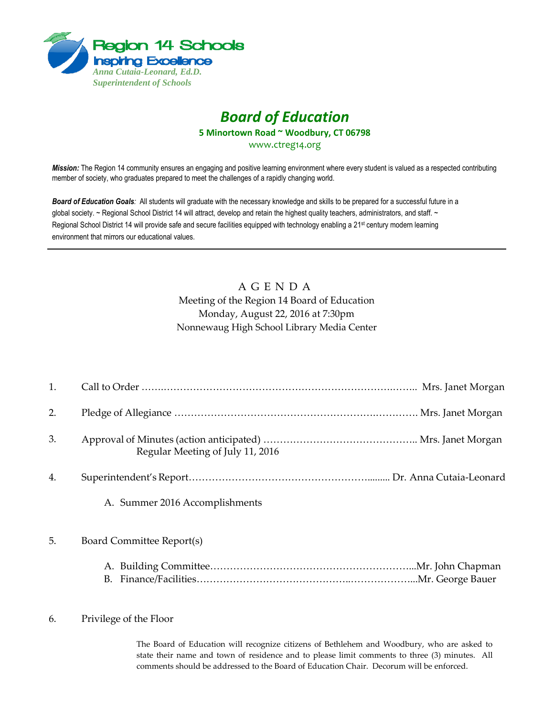

# *Board of Education*

**5 Minortown Road ~ Woodbury, CT 06798**

[www.ctreg14.org](http://www.ctreg14.org/)

*Mission:* The Region 14 community ensures an engaging and positive learning environment where every student is valued as a respected contributing member of society, who graduates prepared to meet the challenges of a rapidly changing world.

*Board of Education Goals:* All students will graduate with the necessary knowledge and skills to be prepared for a successful future in a global society. ~ Regional School District 14 will attract, develop and retain the highest quality teachers, administrators, and staff. ~ Regional School District 14 will provide safe and secure facilities equipped with technology enabling a 21<sup>st</sup> century modern learning environment that mirrors our educational values.

## A G E N D A Meeting of the Region 14 Board of Education Monday, August 22, 2016 at 7:30pm Nonnewaug High School Library Media Center

| 1. |                                  |
|----|----------------------------------|
| 2. |                                  |
| 3. | Regular Meeting of July 11, 2016 |
| 4. |                                  |
|    | A. Summer 2016 Accomplishments   |
| 5. | Board Committee Report(s)        |
|    |                                  |

#### 6. Privilege of the Floor

The Board of Education will recognize citizens of Bethlehem and Woodbury, who are asked to state their name and town of residence and to please limit comments to three (3) minutes. All comments should be addressed to the Board of Education Chair. Decorum will be enforced.